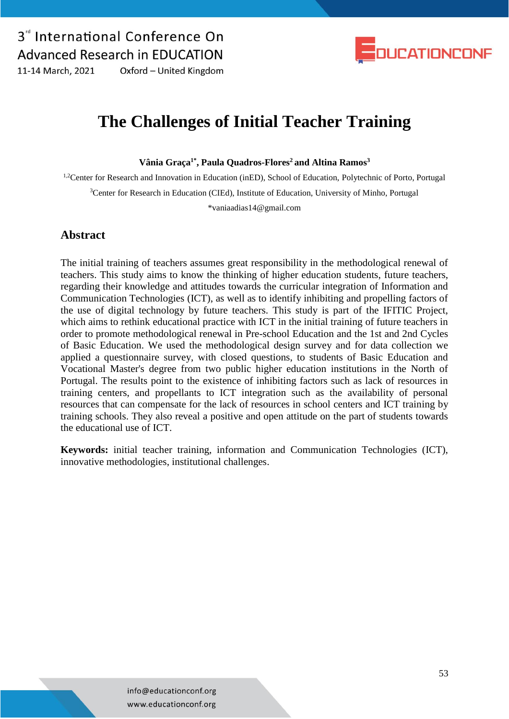

**The Challenges of Initial Teacher Training**

**Vânia Graça1\* , Paula Quadros-Flores<sup>2</sup> and Altina Ramos<sup>3</sup>**

<sup>1,2</sup>Center for Research and Innovation in Education (inED), School of Education, Polytechnic of Porto, Portugal <sup>3</sup>Center for Research in Education (CIEd), Institute of Education, University of Minho, Portugal \*vaniaadias14@gmail.com

#### **Abstract**

The initial training of teachers assumes great responsibility in the methodological renewal of teachers. This study aims to know the thinking of higher education students, future teachers, regarding their knowledge and attitudes towards the curricular integration of Information and Communication Technologies (ICT), as well as to identify inhibiting and propelling factors of the use of digital technology by future teachers. This study is part of the IFITIC Project, which aims to rethink educational practice with ICT in the initial training of future teachers in order to promote methodological renewal in Pre-school Education and the 1st and 2nd Cycles of Basic Education. We used the methodological design survey and for data collection we applied a questionnaire survey, with closed questions, to students of Basic Education and Vocational Master's degree from two public higher education institutions in the North of Portugal. The results point to the existence of inhibiting factors such as lack of resources in training centers, and propellants to ICT integration such as the availability of personal resources that can compensate for the lack of resources in school centers and ICT training by training schools. They also reveal a positive and open attitude on the part of students towards the educational use of ICT.

**Keywords:** initial teacher training, information and Communication Technologies (ICT), innovative methodologies, institutional challenges.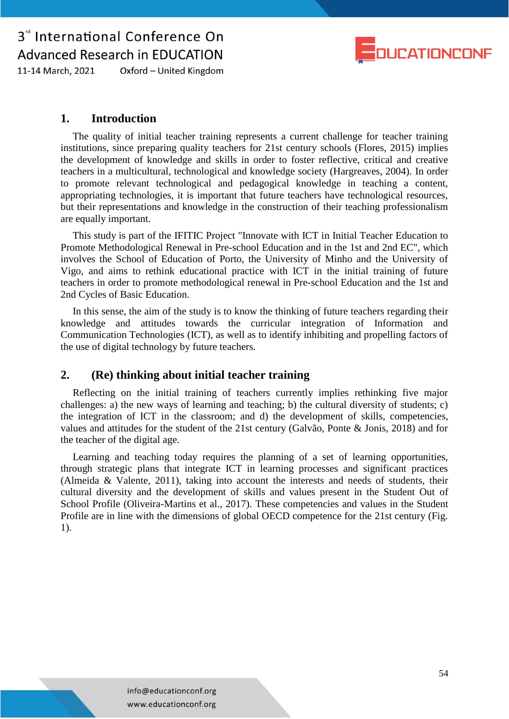

Oxford - United Kingdom 11-14 March, 2021

### **1. Introduction**

The quality of initial teacher training represents a current challenge for teacher training institutions, since preparing quality teachers for 21st century schools (Flores, 2015) implies the development of knowledge and skills in order to foster reflective, critical and creative teachers in a multicultural, technological and knowledge society (Hargreaves, 2004). In order to promote relevant technological and pedagogical knowledge in teaching a content, appropriating technologies, it is important that future teachers have technological resources, but their representations and knowledge in the construction of their teaching professionalism are equally important.

This study is part of the IFITIC Project "Innovate with ICT in Initial Teacher Education to Promote Methodological Renewal in Pre-school Education and in the 1st and 2nd EC", which involves the School of Education of Porto, the University of Minho and the University of Vigo, and aims to rethink educational practice with ICT in the initial training of future teachers in order to promote methodological renewal in Pre-school Education and the 1st and 2nd Cycles of Basic Education.

In this sense, the aim of the study is to know the thinking of future teachers regarding their knowledge and attitudes towards the curricular integration of Information and Communication Technologies (ICT), as well as to identify inhibiting and propelling factors of the use of digital technology by future teachers.

### **2. (Re) thinking about initial teacher training**

Reflecting on the initial training of teachers currently implies rethinking five major challenges: a) the new ways of learning and teaching; b) the cultural diversity of students; c) the integration of ICT in the classroom; and d) the development of skills, competencies, values and attitudes for the student of the 21st century (Galvão, Ponte & Jonis, 2018) and for the teacher of the digital age.

Learning and teaching today requires the planning of a set of learning opportunities, through strategic plans that integrate ICT in learning processes and significant practices (Almeida & Valente, 2011), taking into account the interests and needs of students, their cultural diversity and the development of skills and values present in the Student Out of School Profile (Oliveira-Martins et al., 2017). These competencies and values in the Student Profile are in line with the dimensions of global OECD competence for the 21st century (Fig. 1).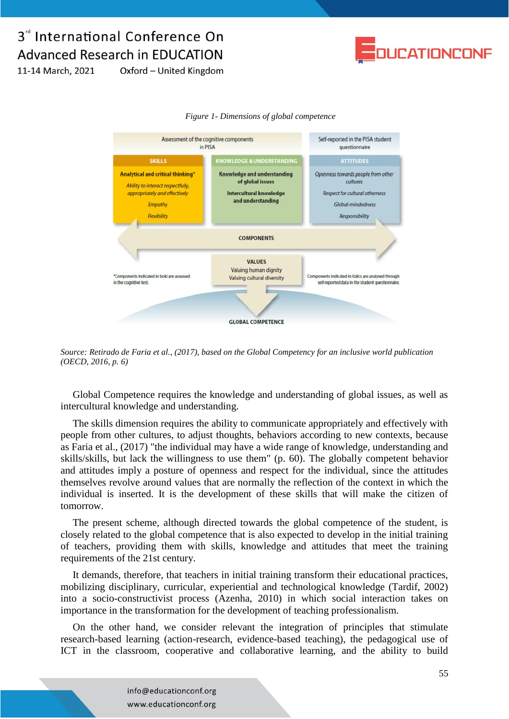

11-14 March, 2021 Oxford - United Kingdom





*Source: Retirado de Faria et al., (2017), based on the Global Competency for an inclusive world publication (OECD, 2016, p. 6)*

Global Competence requires the knowledge and understanding of global issues, as well as intercultural knowledge and understanding.

The skills dimension requires the ability to communicate appropriately and effectively with people from other cultures, to adjust thoughts, behaviors according to new contexts, because as Faria et al., (2017) "the individual may have a wide range of knowledge, understanding and skills/skills, but lack the willingness to use them" (p. 60). The globally competent behavior and attitudes imply a posture of openness and respect for the individual, since the attitudes themselves revolve around values that are normally the reflection of the context in which the individual is inserted. It is the development of these skills that will make the citizen of tomorrow.

The present scheme, although directed towards the global competence of the student, is closely related to the global competence that is also expected to develop in the initial training of teachers, providing them with skills, knowledge and attitudes that meet the training requirements of the 21st century.

It demands, therefore, that teachers in initial training transform their educational practices, mobilizing disciplinary, curricular, experiential and technological knowledge (Tardif, 2002) into a socio-constructivist process (Azenha, 2010) in which social interaction takes on importance in the transformation for the development of teaching professionalism.

On the other hand, we consider relevant the integration of principles that stimulate research-based learning (action-research, evidence-based teaching), the pedagogical use of ICT in the classroom, cooperative and collaborative learning, and the ability to build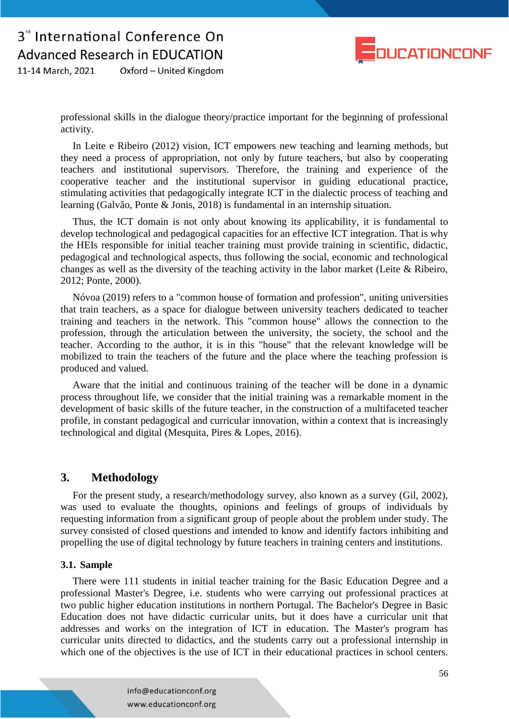

Oxford - United Kingdom 11-14 March, 2021

> professional skills in the dialogue theory/practice important for the beginning of professional activity.

> In Leite e Ribeiro (2012) vision, ICT empowers new teaching and learning methods, but they need a process of appropriation, not only by future teachers, but also by cooperating teachers and institutional supervisors. Therefore, the training and experience of the cooperative teacher and the institutional supervisor in guiding educational practice, stimulating activities that pedagogically integrate ICT in the dialectic process of teaching and learning (Galvão, Ponte & Jonis, 2018) is fundamental in an internship situation.

> Thus, the ICT domain is not only about knowing its applicability, it is fundamental to develop technological and pedagogical capacities for an effective ICT integration. That is why the HEIs responsible for initial teacher training must provide training in scientific, didactic, pedagogical and technological aspects, thus following the social, economic and technological changes as well as the diversity of the teaching activity in the labor market (Leite & Ribeiro, 2012; Ponte, 2000).

> Nóvoa (2019) refers to a "common house of formation and profession", uniting universities that train teachers, as a space for dialogue between university teachers dedicated to teacher training and teachers in the network. This "common house" allows the connection to the profession, through the articulation between the university, the society, the school and the teacher. According to the author, it is in this "house" that the relevant knowledge will be mobilized to train the teachers of the future and the place where the teaching profession is produced and valued.

> Aware that the initial and continuous training of the teacher will be done in a dynamic process throughout life, we consider that the initial training was a remarkable moment in the development of basic skills of the future teacher, in the construction of a multifaceted teacher profile, in constant pedagogical and curricular innovation, within a context that is increasingly technological and digital (Mesquita, Pires & Lopes, 2016).

### **3. Methodology**

For the present study, a research/methodology survey, also known as a survey (Gil, 2002), was used to evaluate the thoughts, opinions and feelings of groups of individuals by requesting information from a significant group of people about the problem under study. The survey consisted of closed questions and intended to know and identify factors inhibiting and propelling the use of digital technology by future teachers in training centers and institutions.

#### **3.1. Sample**

There were 111 students in initial teacher training for the Basic Education Degree and a professional Master's Degree, i.e. students who were carrying out professional practices at two public higher education institutions in northern Portugal. The Bachelor's Degree in Basic Education does not have didactic curricular units, but it does have a curricular unit that addresses and works on the integration of ICT in education. The Master's program has curricular units directed to didactics, and the students carry out a professional internship in which one of the objectives is the use of ICT in their educational practices in school centers.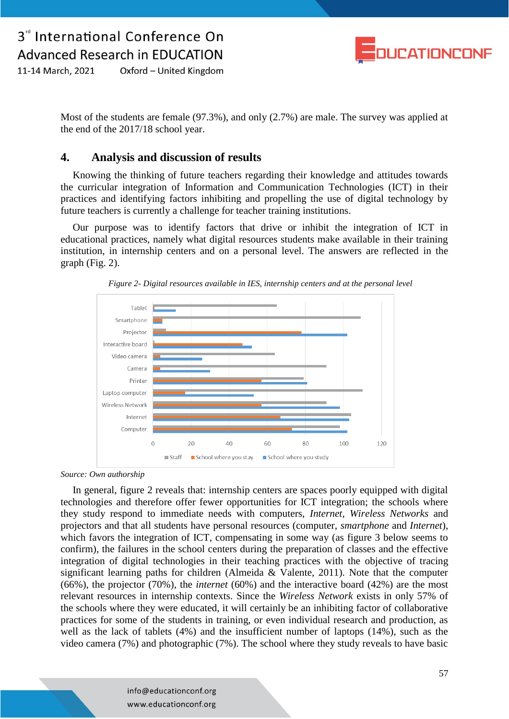

11-14 March, 2021 Oxford - United Kingdom

> Most of the students are female (97.3%), and only (2.7%) are male. The survey was applied at the end of the 2017/18 school year.

### **4. Analysis and discussion of results**

Knowing the thinking of future teachers regarding their knowledge and attitudes towards the curricular integration of Information and Communication Technologies (ICT) in their practices and identifying factors inhibiting and propelling the use of digital technology by future teachers is currently a challenge for teacher training institutions.

Our purpose was to identify factors that drive or inhibit the integration of ICT in educational practices, namely what digital resources students make available in their training institution, in internship centers and on a personal level. The answers are reflected in the graph (Fig. 2).



*Figure 2- Digital resources available in IES, internship centers and at the personal level*

*Source: Own authorship*

In general, figure 2 reveals that: internship centers are spaces poorly equipped with digital technologies and therefore offer fewer opportunities for ICT integration; the schools where they study respond to immediate needs with computers, *Internet*, *Wireless Networks* and projectors and that all students have personal resources (computer, *smartphone* and *Internet*), which favors the integration of ICT, compensating in some way (as figure 3 below seems to confirm), the failures in the school centers during the preparation of classes and the effective integration of digital technologies in their teaching practices with the objective of tracing significant learning paths for children (Almeida & Valente, 2011). Note that the computer (66%), the projector (70%), the *internet* (60%) and the interactive board (42%) are the most relevant resources in internship contexts. Since the *Wireless Network* exists in only 57% of the schools where they were educated, it will certainly be an inhibiting factor of collaborative practices for some of the students in training, or even individual research and production, as well as the lack of tablets (4%) and the insufficient number of laptops (14%), such as the video camera (7%) and photographic (7%). The school where they study reveals to have basic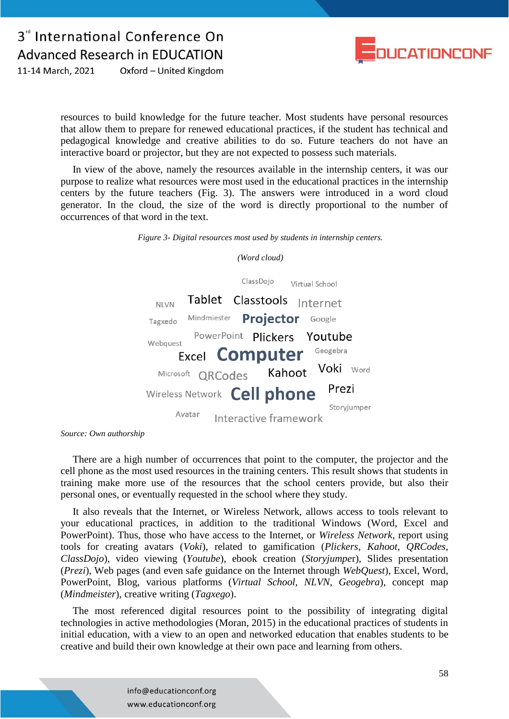

Oxford - United Kingdom 11-14 March, 2021

> resources to build knowledge for the future teacher. Most students have personal resources that allow them to prepare for renewed educational practices, if the student has technical and pedagogical knowledge and creative abilities to do so. Future teachers do not have an interactive board or projector, but they are not expected to possess such materials.

> In view of the above, namely the resources available in the internship centers, it was our purpose to realize what resources were most used in the educational practices in the internship centers by the future teachers (Fig. 3). The answers were introduced in a word cloud generator. In the cloud, the size of the word is directly proportional to the number of occurrences of that word in the text.

> > *Figure 3- Digital resources most used by students in internship centers.*

*(Word cloud)*



*Source: Own authorship*

There are a high number of occurrences that point to the computer, the projector and the cell phone as the most used resources in the training centers. This result shows that students in training make more use of the resources that the school centers provide, but also their personal ones, or eventually requested in the school where they study.

It also reveals that the Internet, or Wireless Network, allows access to tools relevant to your educational practices, in addition to the traditional Windows (Word, Excel and PowerPoint). Thus, those who have access to the Internet, or *Wireless Network*, report using tools for creating avatars (*Voki*), related to gamification (*Plickers, Kahoot, QRCodes*, *ClassDojo*), video viewing (*Youtube*), ebook creation (*Storyjumpe*r), Slides presentation (*Prezi*), Web pages (and even safe guidance on the Internet through *WebQuest*), Excel, Word, PowerPoint, Blog, various platforms (*Virtual School, NLVN, Geogebra*), concept map (*Mindmeister*), creative writing (*Tagxego*).

The most referenced digital resources point to the possibility of integrating digital technologies in active methodologies (Moran, 2015) in the educational practices of students in initial education, with a view to an open and networked education that enables students to be creative and build their own knowledge at their own pace and learning from others.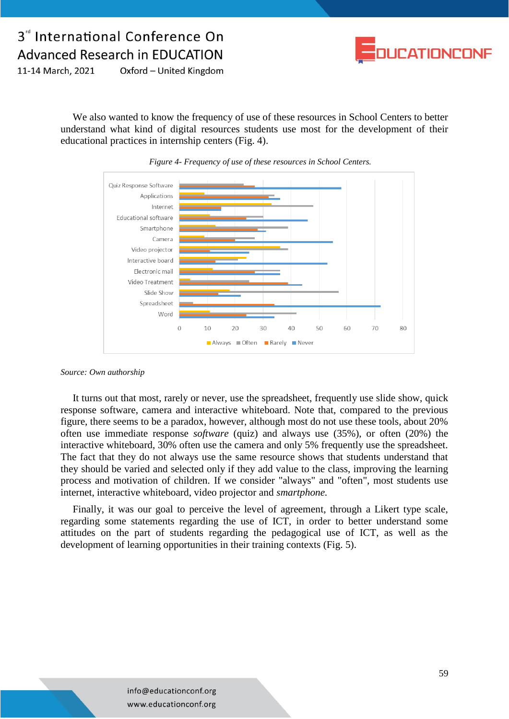

11-14 March, 2021 Oxford - United Kingdom

> We also wanted to know the frequency of use of these resources in School Centers to better understand what kind of digital resources students use most for the development of their educational practices in internship centers (Fig. 4).





#### *Source: Own authorship*

It turns out that most, rarely or never, use the spreadsheet, frequently use slide show, quick response software, camera and interactive whiteboard. Note that, compared to the previous figure, there seems to be a paradox, however, although most do not use these tools, about 20% often use immediate response *software* (quiz) and always use (35%), or often (20%) the interactive whiteboard, 30% often use the camera and only 5% frequently use the spreadsheet. The fact that they do not always use the same resource shows that students understand that they should be varied and selected only if they add value to the class, improving the learning process and motivation of children. If we consider "always" and "often", most students use internet, interactive whiteboard, video projector and *smartphone.*

Finally, it was our goal to perceive the level of agreement, through a Likert type scale, regarding some statements regarding the use of ICT, in order to better understand some attitudes on the part of students regarding the pedagogical use of ICT, as well as the development of learning opportunities in their training contexts (Fig. 5).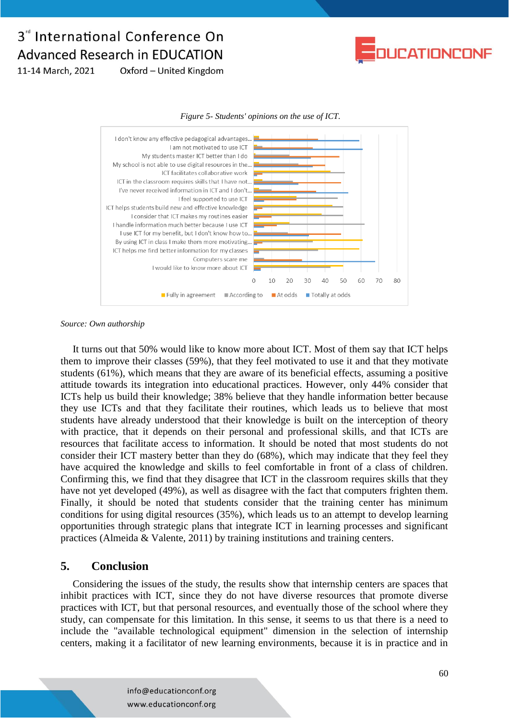

11-14 March, 2021 Oxford - United Kingdom





*Source: Own authorship*

It turns out that 50% would like to know more about ICT. Most of them say that ICT helps them to improve their classes (59%), that they feel motivated to use it and that they motivate students (61%), which means that they are aware of its beneficial effects, assuming a positive attitude towards its integration into educational practices. However, only 44% consider that ICTs help us build their knowledge; 38% believe that they handle information better because they use ICTs and that they facilitate their routines, which leads us to believe that most students have already understood that their knowledge is built on the interception of theory with practice, that it depends on their personal and professional skills, and that ICTs are resources that facilitate access to information. It should be noted that most students do not consider their ICT mastery better than they do (68%), which may indicate that they feel they have acquired the knowledge and skills to feel comfortable in front of a class of children. Confirming this, we find that they disagree that ICT in the classroom requires skills that they have not yet developed (49%), as well as disagree with the fact that computers frighten them. Finally, it should be noted that students consider that the training center has minimum conditions for using digital resources (35%), which leads us to an attempt to develop learning opportunities through strategic plans that integrate ICT in learning processes and significant practices (Almeida & Valente, 2011) by training institutions and training centers.

### **5. Conclusion**

Considering the issues of the study, the results show that internship centers are spaces that inhibit practices with ICT, since they do not have diverse resources that promote diverse practices with ICT, but that personal resources, and eventually those of the school where they study, can compensate for this limitation. In this sense, it seems to us that there is a need to include the "available technological equipment" dimension in the selection of internship centers, making it a facilitator of new learning environments, because it is in practice and in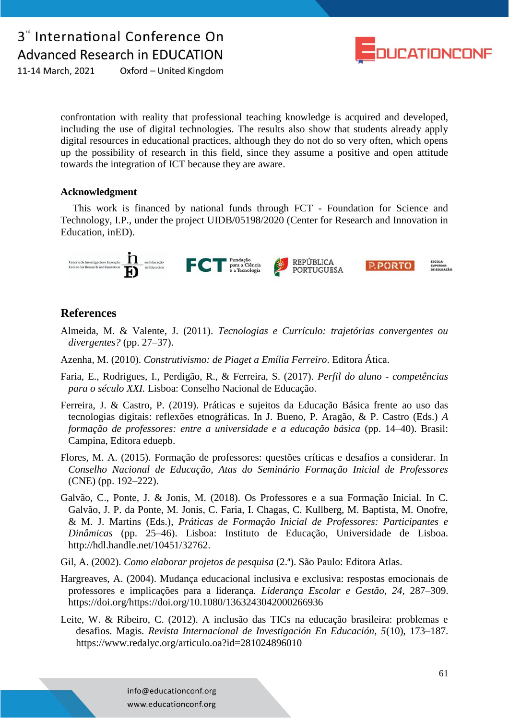

11-14 March, 2021 Oxford - United Kingdom

> confrontation with reality that professional teaching knowledge is acquired and developed, including the use of digital technologies. The results also show that students already apply digital resources in educational practices, although they do not do so very often, which opens up the possibility of research in this field, since they assume a positive and open attitude towards the integration of ICT because they are aware.

#### **Acknowledgment**

This work is financed by national funds through FCT - Foundation for Science and Technology, I.P., under the project UIDB/05198/2020 (Center for Research and Innovation in Education, inED).



### **References**

- Almeida, M. & Valente, J. (2011). *Tecnologias e Currículo: trajetórias convergentes ou divergentes?* (pp. 27–37).
- Azenha, M. (2010). *Construtivismo: de Piaget a Emília Ferreiro*. Editora Ática.
- Faria, E., Rodrigues, I., Perdigão, R., & Ferreira, S. (2017). *Perfil do aluno - competências para o século XXI.* Lisboa: Conselho Nacional de Educação.
- Ferreira, J. & Castro, P. (2019). Práticas e sujeitos da Educação Básica frente ao uso das tecnologias digitais: reflexões etnográficas. In J. Bueno, P. Aragão, & P. Castro (Eds.) *A formação de professores: entre a universidade e a educação básica* (pp. 14–40). Brasil: Campina, Editora eduepb.
- Flores, M. A. (2015). Formação de professores: questões críticas e desafios a considerar. In *Conselho Nacional de Educação, Atas do Seminário Formação Inicial de Professores* (CNE) (pp. 192–222).
- Galvão, C., Ponte, J. & Jonis, M. (2018). Os Professores e a sua Formação Inicial. In C. Galvão, J. P. da Ponte, M. Jonis, C. Faria, I. Chagas, C. Kullberg, M. Baptista, M. Onofre, & M. J. Martins (Eds.), *Práticas de Formação Inicial de Professores: Participantes e Dinâmicas* (pp. 25–46). Lisboa: Instituto de Educação, Universidade de Lisboa. http://hdl.handle.net/10451/32762.
- Gil, A. (2002). *Como elaborar projetos de pesquisa* (2.ª). São Paulo: Editora Atlas.
- Hargreaves, A. (2004). Mudança educacional inclusiva e exclusiva: respostas emocionais de professores e implicações para a liderança. *Liderança Escolar e Gestão, 24,* 287–309. https://doi.org/https://doi.org/10.1080/1363243042000266936
- Leite, W. & Ribeiro, C. (2012). A inclusão das TICs na educação brasileira: problemas e desafios. Magis*. Revista Internacional de Investigación En Educación, 5*(10), 173–187. https://www.redalyc.org/articulo.oa?id=281024896010